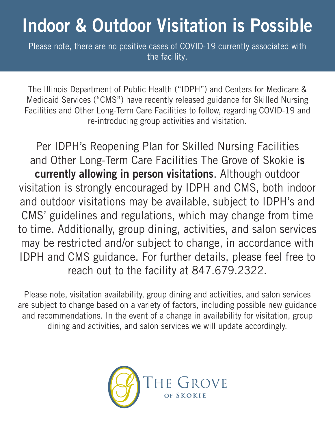## Indoor & Outdoor Visitation is Possible

Please note, there are no positive cases of COVID-19 currently associated with the facility.

The Illinois Department of Public Health ("IDPH") and Centers for Medicare & Medicaid Services ("CMS") have recently released guidance for Skilled Nursing Facilities and Other Long-Term Care Facilities to follow, regarding COVID-19 and re-introducing group activities and visitation.

Per IDPH's Reopening Plan for Skilled Nursing Facilities and Other Long-Term Care Facilities The Grove of Skokie is currently allowing in person visitations. Although outdoor visitation is strongly encouraged by IDPH and CMS, both indoor and outdoor visitations may be available, subject to IDPH's and CMS' guidelines and regulations, which may change from time to time. Additionally, group dining, activities, and salon services may be restricted and/or subject to change, in accordance with IDPH and CMS guidance. For further details, please feel free to reach out to the facility at 847.679.2322.

Please note, visitation availability, group dining and activities, and salon services are subject to change based on a variety of factors, including possible new guidance and recommendations. In the event of a change in availability for visitation, group dining and activities, and salon services we will update accordingly.